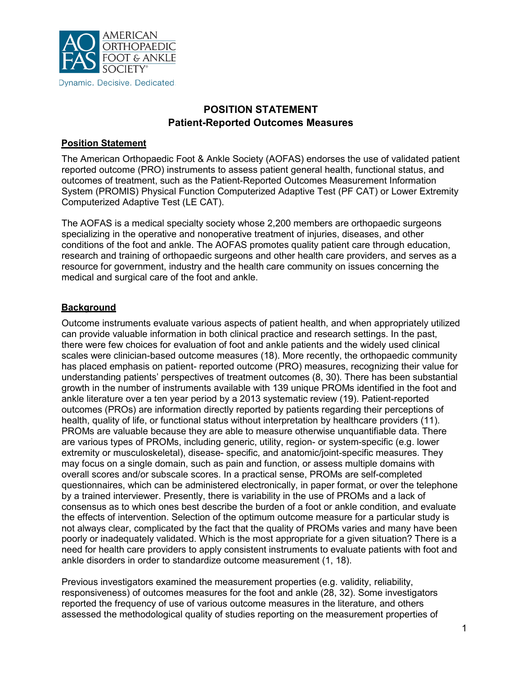

# **POSITION STATEMENT Patient-Reported Outcomes Measures**

## **Position Statement**

The American Orthopaedic Foot & Ankle Society (AOFAS) endorses the use of validated patient reported outcome (PRO) instruments to assess patient general health, functional status, and outcomes of treatment, such as the Patient-Reported Outcomes Measurement Information System (PROMIS) Physical Function Computerized Adaptive Test (PF CAT) or Lower Extremity Computerized Adaptive Test (LE CAT).

The AOFAS is a medical specialty society whose 2,200 members are orthopaedic surgeons specializing in the operative and nonoperative treatment of injuries, diseases, and other conditions of the foot and ankle. The AOFAS promotes quality patient care through education, research and training of orthopaedic surgeons and other health care providers, and serves as a resource for government, industry and the health care community on issues concerning the medical and surgical care of the foot and ankle.

## **Background**

Outcome instruments evaluate various aspects of patient health, and when appropriately utilized can provide valuable information in both clinical practice and research settings. In the past, there were few choices for evaluation of foot and ankle patients and the widely used clinical scales were clinician-based outcome measures (18). More recently, the orthopaedic community has placed emphasis on patient- reported outcome (PRO) measures, recognizing their value for understanding patients' perspectives of treatment outcomes (8, 30). There has been substantial growth in the number of instruments available with 139 unique PROMs identified in the foot and ankle literature over a ten year period by a 2013 systematic review (19). Patient-reported outcomes (PROs) are information directly reported by patients regarding their perceptions of health, quality of life, or functional status without interpretation by healthcare providers (11). PROMs are valuable because they are able to measure otherwise unquantifiable data. There are various types of PROMs, including generic, utility, region- or system-specific (e.g. lower extremity or musculoskeletal), disease- specific, and anatomic/joint-specific measures. They may focus on a single domain, such as pain and function, or assess multiple domains with overall scores and/or subscale scores. In a practical sense, PROMs are self-completed questionnaires, which can be administered electronically, in paper format, or over the telephone by a trained interviewer. Presently, there is variability in the use of PROMs and a lack of consensus as to which ones best describe the burden of a foot or ankle condition, and evaluate the effects of intervention. Selection of the optimum outcome measure for a particular study is not always clear, complicated by the fact that the quality of PROMs varies and many have been poorly or inadequately validated. Which is the most appropriate for a given situation? There is a need for health care providers to apply consistent instruments to evaluate patients with foot and ankle disorders in order to standardize outcome measurement (1, 18).

Previous investigators examined the measurement properties (e.g. validity, reliability, responsiveness) of outcomes measures for the foot and ankle (28, 32). Some investigators reported the frequency of use of various outcome measures in the literature, and others assessed the methodological quality of studies reporting on the measurement properties of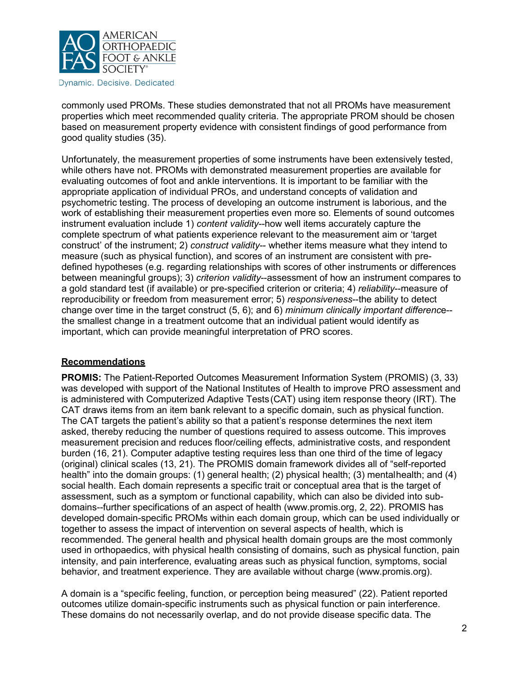

commonly used PROMs. These studies demonstrated that not all PROMs have measurement properties which meet recommended quality criteria. The appropriate PROM should be chosen based on measurement property evidence with consistent findings of good performance from good quality studies (35).

Unfortunately, the measurement properties of some instruments have been extensively tested, while others have not. PROMs with demonstrated measurement properties are available for evaluating outcomes of foot and ankle interventions. It is important to be familiar with the appropriate application of individual PROs, and understand concepts of validation and psychometric testing. The process of developing an outcome instrument is laborious, and the work of establishing their measurement properties even more so. Elements of sound outcomes instrument evaluation include 1) *content validity*--how well items accurately capture the complete spectrum of what patients experience relevant to the measurement aim or 'target construct' of the instrument; 2) *construct validity*-- whether items measure what they intend to measure (such as physical function), and scores of an instrument are consistent with predefined hypotheses (e.g. regarding relationships with scores of other instruments or differences between meaningful groups); 3) *criterion validity*--assessment of how an instrument compares to a gold standard test (if available) or pre-specified criterion or criteria; 4) *reliability*--measure of reproducibility or freedom from measurement error; 5) *responsiveness*--the ability to detect change over time in the target construct (5, 6); and 6) *minimum clinically important differenc*e- the smallest change in a treatment outcome that an individual patient would identify as important, which can provide meaningful interpretation of PRO scores.

#### **Recommendations**

**PROMIS:** The Patient-Reported Outcomes Measurement Information System (PROMIS) (3, 33) was developed with support of the National Institutes of Health to improve PRO assessment and is administered with Computerized Adaptive Tests(CAT) using item response theory (IRT). The CAT draws items from an item bank relevant to a specific domain, such as physical function. The CAT targets the patient's ability so that a patient's response determines the next item asked, thereby reducing the number of questions required to assess outcome. This improves measurement precision and reduces floor/ceiling effects, administrative costs, and respondent burden (16, 21). Computer adaptive testing requires less than one third of the time of legacy (original) clinical scales (13, 21). The PROMIS domain framework divides all of "self-reported health" into the domain groups: (1) general health; (2) physical health; (3) mentalhealth; and (4) social health. Each domain represents a specific trait or conceptual area that is the target of assessment, such as a symptom or functional capability, which can also be divided into subdomains--further specifications of an aspect of hea[lth \(www.promis.org,](http://www.promis.org/) 2, 22). PROMIS has developed domain-specific PROMs within each domain group, which can be used individually or together to assess the impact of intervention on several aspects of health, which is recommended. The general health and physical health domain groups are the most commonly used in orthopaedics, with physical health consisting of domains, such as physical function, pain intensity, and pain interference, evaluating areas such as physical function, symptoms, social behavior, and treatment experience. They are available without charge (www.promis.org).

A domain is a "specific feeling, function, or perception being measured" (22). Patient reported outcomes utilize domain-specific instruments such as physical function or pain interference. These domains do not necessarily overlap, and do not provide disease specific data. The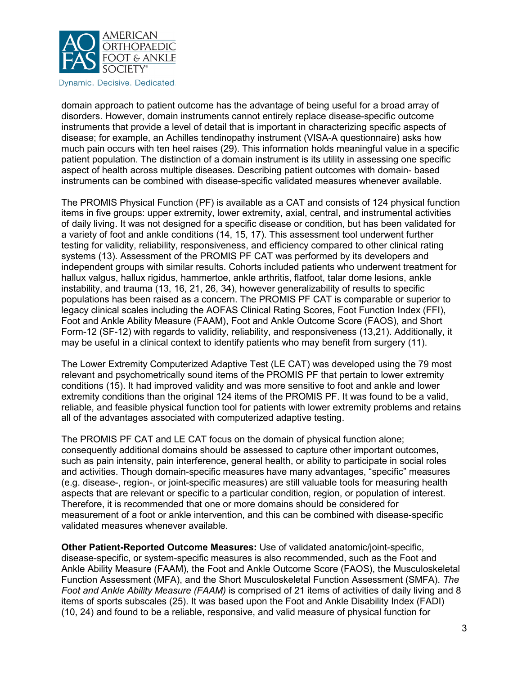

domain approach to patient outcome has the advantage of being useful for a broad array of disorders. However, domain instruments cannot entirely replace disease-specific outcome instruments that provide a level of detail that is important in characterizing specific aspects of disease; for example, an Achilles tendinopathy instrument (VISA-A questionnaire) asks how much pain occurs with ten heel raises (29). This information holds meaningful value in a specific patient population. The distinction of a domain instrument is its utility in assessing one specific aspect of health across multiple diseases. Describing patient outcomes with domain- based instruments can be combined with disease-specific validated measures whenever available.

The PROMIS Physical Function (PF) is available as a CAT and consists of 124 physical function items in five groups: upper extremity, lower extremity, axial, central, and instrumental activities of daily living. It was not designed for a specific disease or condition, but has been validated for a variety of foot and ankle conditions (14, 15, 17). This assessment tool underwent further testing for validity, reliability, responsiveness, and efficiency compared to other clinical rating systems (13). Assessment of the PROMIS PF CAT was performed by its developers and independent groups with similar results. Cohorts included patients who underwent treatment for hallux valgus, hallux rigidus, hammertoe, ankle arthritis, flatfoot, talar dome lesions, ankle instability, and trauma (13, 16, 21, 26, 34), however generalizability of results to specific populations has been raised as a concern. The PROMIS PF CAT is comparable or superior to legacy clinical scales including the AOFAS Clinical Rating Scores, Foot Function Index (FFI), Foot and Ankle Ability Measure (FAAM), Foot and Ankle Outcome Score (FAOS), and Short Form-12 (SF-12) with regards to validity, reliability, and responsiveness (13,21). Additionally, it may be useful in a clinical context to identify patients who may benefit from surgery (11).

The Lower Extremity Computerized Adaptive Test (LE CAT) was developed using the 79 most relevant and psychometrically sound items of the PROMIS PF that pertain to lower extremity conditions (15). It had improved validity and was more sensitive to foot and ankle and lower extremity conditions than the original 124 items of the PROMIS PF. It was found to be a valid, reliable, and feasible physical function tool for patients with lower extremity problems and retains all of the advantages associated with computerized adaptive testing.

The PROMIS PF CAT and LE CAT focus on the domain of physical function alone; consequently additional domains should be assessed to capture other important outcomes, such as pain intensity, pain interference, general health, or ability to participate in social roles and activities. Though domain-specific measures have many advantages, "specific" measures (e.g. disease-, region-, or joint-specific measures) are still valuable tools for measuring health aspects that are relevant or specific to a particular condition, region, or population of interest. Therefore, it is recommended that one or more domains should be considered for measurement of a foot or ankle intervention, and this can be combined with disease-specific validated measures whenever available.

**Other Patient-Reported Outcome Measures:** Use of validated anatomic/joint-specific, disease-specific, or system-specific measures is also recommended, such as the Foot and Ankle Ability Measure (FAAM), the Foot and Ankle Outcome Score (FAOS), the Musculoskeletal Function Assessment (MFA), and the Short Musculoskeletal Function Assessment (SMFA). *The Foot and Ankle Ability Measure (FAAM)* is comprised of 21 items of activities of daily living and 8 items of sports subscales (25). It was based upon the Foot and Ankle Disability Index (FADI) (10, 24) and found to be a reliable, responsive, and valid measure of physical function for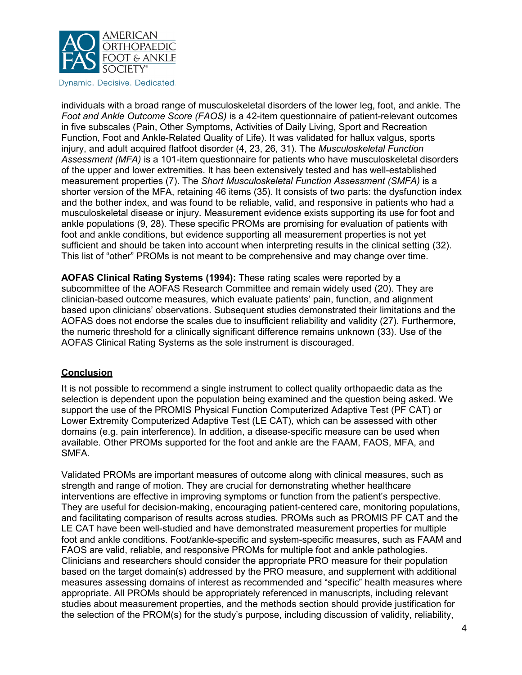

individuals with a broad range of musculoskeletal disorders of the lower leg, foot, and ankle. The *Foot and Ankle Outcome Score (FAOS)* is a 42-item questionnaire of patient-relevant outcomes in five subscales (Pain, Other Symptoms, Activities of Daily Living, Sport and Recreation Function, Foot and Ankle-Related Quality of Life). It was validated for hallux valgus, sports injury, and adult acquired flatfoot disorder (4, 23, 26, 31). The *Musculoskeletal Function Assessment (MFA)* is a 101-item questionnaire for patients who have musculoskeletal disorders of the upper and lower extremities. It has been extensively tested and has well-established measurement properties (7). The *Short Musculoskeletal Function Assessment (SMFA)* is a shorter version of the MFA, retaining 46 items (35). It consists of two parts: the dysfunction index and the bother index, and was found to be reliable, valid, and responsive in patients who had a musculoskeletal disease or injury. Measurement evidence exists supporting its use for foot and ankle populations (9, 28). These specific PROMs are promising for evaluation of patients with foot and ankle conditions, but evidence supporting all measurement properties is not yet sufficient and should be taken into account when interpreting results in the clinical setting (32). This list of "other" PROMs is not meant to be comprehensive and may change over time.

**AOFAS Clinical Rating Systems (1994):** These rating scales were reported by a subcommittee of the AOFAS Research Committee and remain widely used (20). They are clinician-based outcome measures, which evaluate patients' pain, function, and alignment based upon clinicians' observations. Subsequent studies demonstrated their limitations and the AOFAS does not endorse the scales due to insufficient reliability and validity (27). Furthermore, the numeric threshold for a clinically significant difference remains unknown (33). Use of the AOFAS Clinical Rating Systems as the sole instrument is discouraged.

#### **Conclusion**

It is not possible to recommend a single instrument to collect quality orthopaedic data as the selection is dependent upon the population being examined and the question being asked. We support the use of the PROMIS Physical Function Computerized Adaptive Test (PF CAT) or Lower Extremity Computerized Adaptive Test (LE CAT), which can be assessed with other domains (e.g. pain interference). In addition, a disease-specific measure can be used when available. Other PROMs supported for the foot and ankle are the FAAM, FAOS, MFA, and SMFA.

Validated PROMs are important measures of outcome along with clinical measures, such as strength and range of motion. They are crucial for demonstrating whether healthcare interventions are effective in improving symptoms or function from the patient's perspective. They are useful for decision-making, encouraging patient-centered care, monitoring populations, and facilitating comparison of results across studies. PROMs such as PROMIS PF CAT and the LE CAT have been well-studied and have demonstrated measurement properties for multiple foot and ankle conditions. Foot/ankle-specific and system-specific measures, such as FAAM and FAOS are valid, reliable, and responsive PROMs for multiple foot and ankle pathologies. Clinicians and researchers should consider the appropriate PRO measure for their population based on the target domain(s) addressed by the PRO measure, and supplement with additional measures assessing domains of interest as recommended and "specific" health measures where appropriate. All PROMs should be appropriately referenced in manuscripts, including relevant studies about measurement properties, and the methods section should provide justification for the selection of the PROM(s) for the study's purpose, including discussion of validity, reliability,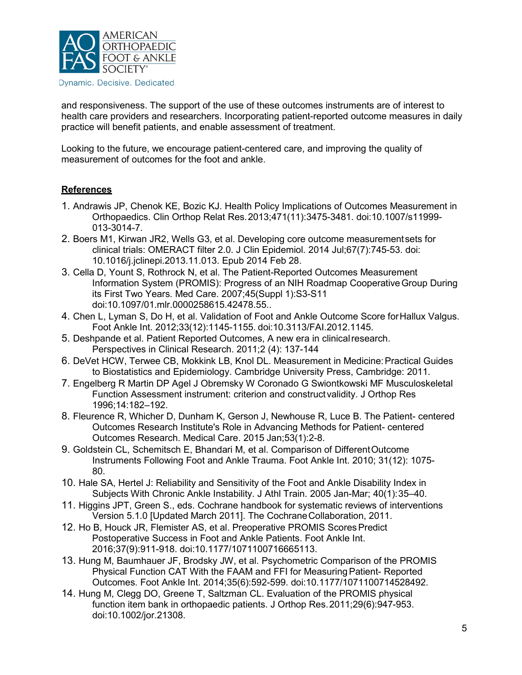

and responsiveness. The support of the use of these outcomes instruments are of interest to health care providers and researchers. Incorporating patient-reported outcome measures in daily practice will benefit patients, and enable assessment of treatment.

Looking to the future, we encourage patient-centered care, and improving the quality of measurement of outcomes for the foot and ankle.

## **References**

- 1. Andrawis JP, Chenok KE, Bozic KJ. Health Policy Implications of Outcomes Measurement in Orthopaedics. Clin Orthop Relat Res.2013;471(11):3475-3481. doi:10.1007/s11999- 013-3014-7.
- 2. Boers M1, Kirwan JR2, Wells G3, et al. Developing core outcome measurementsets for clinical trials: OMERACT filter 2.0. J Clin Epidemiol. 2014 Jul;67(7):745-53. doi: 10.1016/j.jclinepi.2013.11.013. Epub 2014 Feb 28.
- 3. Cella D, Yount S, Rothrock N, et al. The Patient-Reported Outcomes Measurement Information System (PROMIS): Progress of an NIH Roadmap CooperativeGroup During its First Two Years. Med Care. 2007;45(Suppl 1):S3-S11 doi:10.1097/01.mlr.0000258615.42478.55..
- 4. Chen L, Lyman S, Do H, et al. Validation of Foot and Ankle Outcome Score forHallux Valgus. Foot Ankle Int. 2012;33(12):1145-1155. doi:10.3113/FAI.2012.1145.
- 5. Deshpande et al. Patient Reported Outcomes, A new era in clinicalresearch. Perspectives in Clinical Research. 2011;2 (4): 137-144
- 6. DeVet HCW, Terwee CB, Mokkink LB, Knol DL. Measurement in Medicine:Practical Guides to Biostatistics and Epidemiology. Cambridge University Press, Cambridge: 2011.
- 7. Engelberg R Martin DP Agel J Obremsky W Coronado G Swiontkowski MF Musculoskeletal Function Assessment instrument: criterion and construct validity. J Orthop Res 1996;14:182–192.
- 8. Fleurence R, Whicher D, Dunham K, Gerson J, Newhouse R, Luce B. The Patient- centered Outcomes Research Institute's Role in Advancing Methods for Patient- centered Outcomes Research. Medical Care. 2015 Jan;53(1):2-8.
- 9. Goldstein CL, Schemitsch E, Bhandari M, et al. Comparison of DifferentOutcome Instruments Following Foot and Ankle Trauma. Foot Ankle Int. 2010; 31(12): 1075- 80.
- 10. Hale SA, Hertel J: Reliability and Sensitivity of the Foot and Ankle Disability Index in Subjects With Chronic Ankle Instability. J Athl Train. 2005 Jan-Mar; 40(1):35–40.
- 11. Higgins JPT, Green S., eds. Cochrane handbook for systematic reviews of interventions Version 5.1.0 [Updated March 2011]. The CochraneCollaboration, 2011.
- 12. Ho B, Houck JR, Flemister AS, et al. Preoperative PROMIS ScoresPredict Postoperative Success in Foot and Ankle Patients. Foot Ankle Int. 2016;37(9):911-918. doi:10.1177/1071100716665113.
- 13. Hung M, Baumhauer JF, Brodsky JW, et al. Psychometric Comparison of the PROMIS Physical Function CAT With the FAAM and FFI for Measuring Patient- Reported Outcomes. Foot Ankle Int. 2014;35(6):592-599. doi:10.1177/1071100714528492.
- 14. Hung M, Clegg DO, Greene T, Saltzman CL. Evaluation of the PROMIS physical function item bank in orthopaedic patients. J Orthop Res.2011;29(6):947-953. doi:10.1002/jor.21308.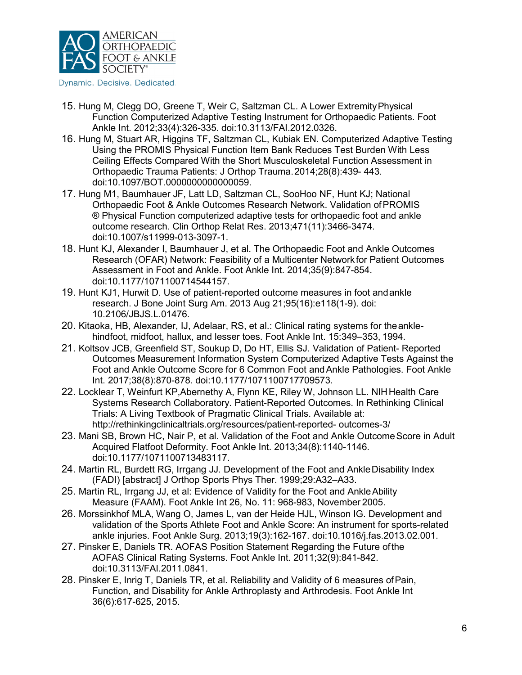

- 15. Hung M, Clegg DO, Greene T, Weir C, Saltzman CL. A Lower ExtremityPhysical Function Computerized Adaptive Testing Instrument for Orthopaedic Patients. Foot Ankle Int. 2012;33(4):326-335. doi:10.3113/FAI.2012.0326.
- 16. Hung M, Stuart AR, Higgins TF, Saltzman CL, Kubiak EN. Computerized Adaptive Testing Using the PROMIS Physical Function Item Bank Reduces Test Burden With Less Ceiling Effects Compared With the Short Musculoskeletal Function Assessment in Orthopaedic Trauma Patients: J Orthop Trauma.2014;28(8):439- 443. doi:10.1097/BOT.0000000000000059.
- 17. Hung M1, Baumhauer JF, Latt LD, Saltzman CL, SooHoo NF, Hunt KJ; National Orthopaedic Foot & Ankle Outcomes Research Network. Validation ofPROMIS ® Physical Function computerized adaptive tests for orthopaedic foot and ankle outcome research. Clin Orthop Relat Res. 2013;471(11):3466-3474. doi:10.1007/s11999-013-3097-1.
- 18. Hunt KJ, Alexander I, Baumhauer J, et al. The Orthopaedic Foot and Ankle Outcomes Research (OFAR) Network: Feasibility of a Multicenter Networkfor Patient Outcomes Assessment in Foot and Ankle. Foot Ankle Int. 2014;35(9):847-854. doi:10.1177/1071100714544157.
- 19. Hunt KJ1, Hurwit D. Use of patient-reported outcome measures in foot andankle research. J Bone Joint Surg Am. 2013 Aug 21;95(16):e118(1-9). doi: 10.2106/JBJS.L.01476.
- 20. Kitaoka, HB, Alexander, IJ, Adelaar, RS, et al.: Clinical rating systems for theanklehindfoot, midfoot, hallux, and lesser toes. Foot Ankle Int. 15:349–353, 1994.
- 21. Koltsov JCB, Greenfield ST, Soukup D, Do HT, Ellis SJ. Validation of Patient- Reported Outcomes Measurement Information System Computerized Adaptive Tests Against the Foot and Ankle Outcome Score for 6 Common Foot andAnkle Pathologies. Foot Ankle Int. 2017;38(8):870-878. doi:10.1177/1071100717709573.
- 22. Locklear T, Weinfurt KP,Abernethy A, Flynn KE, Riley W, Johnson LL. NIHHealth Care Systems Research Collaboratory. Patient-Reported Outcomes. In Rethinking Clinical Trials: A Living Textbook of Pragmatic Clinical Trials. Available at: <http://rethinkingclinicaltrials.org/resources/patient-reported-> outcomes-3/
- 23. Mani SB, Brown HC, Nair P, et al. Validation of the Foot and Ankle Outcome Score in Adult Acquired Flatfoot Deformity. Foot Ankle Int. 2013;34(8):1140-1146. doi:10.1177/1071100713483117.
- 24. Martin RL, Burdett RG, Irrgang JJ. Development of the Foot and AnkleDisability Index (FADI) [abstract] J Orthop Sports Phys Ther. 1999;29:A32–A33.
- 25. Martin RL, Irrgang JJ, et al: Evidence of Validity for the Foot and AnkleAbility Measure (FAAM). Foot Ankle Int 26, No. 11: 968-983, November 2005.
- 26. Morssinkhof MLA, Wang O, James L, van der Heide HJL, Winson IG. Development and validation of the Sports Athlete Foot and Ankle Score: An instrument for sports-related ankle injuries. Foot Ankle Surg. 2013;19(3):162-167. doi:10.1016/j.fas.2013.02.001.
- 27. Pinsker E, Daniels TR. AOFAS Position Statement Regarding the Future ofthe AOFAS Clinical Rating Systems. Foot Ankle Int. 2011;32(9):841-842. doi:10.3113/FAI.2011.0841.
- 28. Pinsker E, Inrig T, Daniels TR, et al. Reliability and Validity of 6 measures ofPain, Function, and Disability for Ankle Arthroplasty and Arthrodesis. Foot Ankle Int 36(6):617-625, 2015.